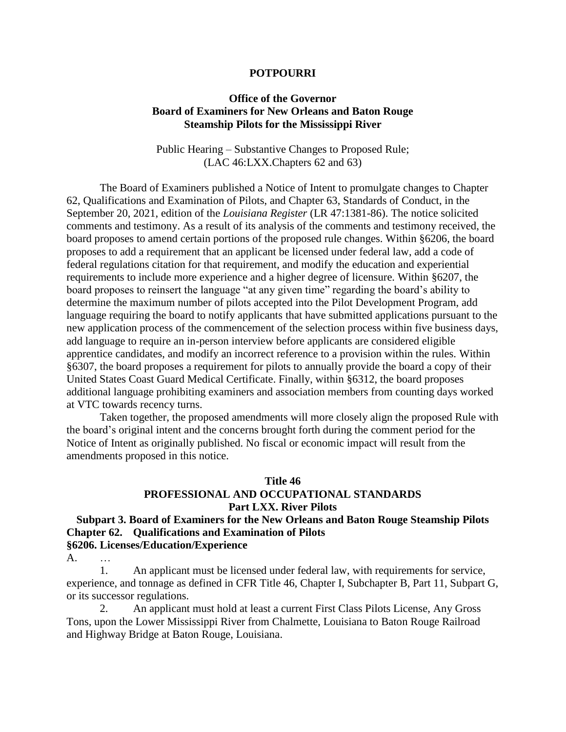#### **POTPOURRI**

#### **Office of the Governor Board of Examiners for New Orleans and Baton Rouge Steamship Pilots for the Mississippi River**

Public Hearing – Substantive Changes to Proposed Rule; (LAC 46:LXX.Chapters 62 and 63)

The Board of Examiners published a Notice of Intent to promulgate changes to Chapter 62, Qualifications and Examination of Pilots, and Chapter 63, Standards of Conduct, in the September 20, 2021, edition of the *Louisiana Register* (LR 47:1381-86). The notice solicited comments and testimony. As a result of its analysis of the comments and testimony received, the board proposes to amend certain portions of the proposed rule changes. Within §6206, the board proposes to add a requirement that an applicant be licensed under federal law, add a code of federal regulations citation for that requirement, and modify the education and experiential requirements to include more experience and a higher degree of licensure. Within §6207, the board proposes to reinsert the language "at any given time" regarding the board's ability to determine the maximum number of pilots accepted into the Pilot Development Program, add language requiring the board to notify applicants that have submitted applications pursuant to the new application process of the commencement of the selection process within five business days, add language to require an in-person interview before applicants are considered eligible apprentice candidates, and modify an incorrect reference to a provision within the rules. Within §6307, the board proposes a requirement for pilots to annually provide the board a copy of their United States Coast Guard Medical Certificate. Finally, within §6312, the board proposes additional language prohibiting examiners and association members from counting days worked at VTC towards recency turns.

Taken together, the proposed amendments will more closely align the proposed Rule with the board's original intent and the concerns brought forth during the comment period for the Notice of Intent as originally published. No fiscal or economic impact will result from the amendments proposed in this notice.

### **Title 46 PROFESSIONAL AND OCCUPATIONAL STANDARDS Part LXX. River Pilots**

#### **Subpart 3. Board of Examiners for the New Orleans and Baton Rouge Steamship Pilots Chapter 62. Qualifications and Examination of Pilots §6206. Licenses/Education/Experience**

A. …

1. An applicant must be licensed under federal law, with requirements for service, experience, and tonnage as defined in CFR Title 46, Chapter I, Subchapter B, Part 11, Subpart G, or its successor regulations.

2. An applicant must hold at least a current First Class Pilots License, Any Gross Tons, upon the Lower Mississippi River from Chalmette, Louisiana to Baton Rouge Railroad and Highway Bridge at Baton Rouge, Louisiana.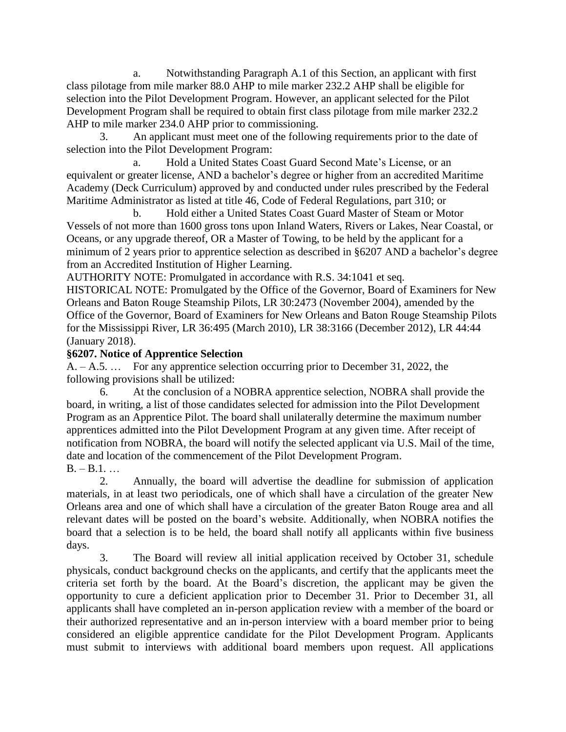a. Notwithstanding Paragraph A.1 of this Section, an applicant with first class pilotage from mile marker 88.0 AHP to mile marker 232.2 AHP shall be eligible for selection into the Pilot Development Program. However, an applicant selected for the Pilot Development Program shall be required to obtain first class pilotage from mile marker 232.2 AHP to mile marker 234.0 AHP prior to commissioning.

3. An applicant must meet one of the following requirements prior to the date of selection into the Pilot Development Program:

a. Hold a United States Coast Guard Second Mate's License, or an equivalent or greater license, AND a bachelor's degree or higher from an accredited Maritime Academy (Deck Curriculum) approved by and conducted under rules prescribed by the Federal Maritime Administrator as listed at title 46, Code of Federal Regulations, part 310; or

b. Hold either a United States Coast Guard Master of Steam or Motor Vessels of not more than 1600 gross tons upon Inland Waters, Rivers or Lakes, Near Coastal, or Oceans, or any upgrade thereof, OR a Master of Towing, to be held by the applicant for a minimum of 2 years prior to apprentice selection as described in §6207 AND a bachelor's degree from an Accredited Institution of Higher Learning.

AUTHORITY NOTE: Promulgated in accordance with R.S. 34:1041 et seq.

HISTORICAL NOTE: Promulgated by the Office of the Governor, Board of Examiners for New Orleans and Baton Rouge Steamship Pilots, LR 30:2473 (November 2004), amended by the Office of the Governor, Board of Examiners for New Orleans and Baton Rouge Steamship Pilots for the Mississippi River, LR 36:495 (March 2010), LR 38:3166 (December 2012), LR 44:44 (January 2018).

## **§6207. Notice of Apprentice Selection**

A. – A.5. … For any apprentice selection occurring prior to December 31, 2022, the following provisions shall be utilized:

6. At the conclusion of a NOBRA apprentice selection, NOBRA shall provide the board, in writing, a list of those candidates selected for admission into the Pilot Development Program as an Apprentice Pilot. The board shall unilaterally determine the maximum number apprentices admitted into the Pilot Development Program at any given time. After receipt of notification from NOBRA, the board will notify the selected applicant via U.S. Mail of the time, date and location of the commencement of the Pilot Development Program.  $B. - B.1...$ 

2. Annually, the board will advertise the deadline for submission of application materials, in at least two periodicals, one of which shall have a circulation of the greater New Orleans area and one of which shall have a circulation of the greater Baton Rouge area and all relevant dates will be posted on the board's website. Additionally, when NOBRA notifies the board that a selection is to be held, the board shall notify all applicants within five business days.

3. The Board will review all initial application received by October 31, schedule physicals, conduct background checks on the applicants, and certify that the applicants meet the criteria set forth by the board. At the Board's discretion, the applicant may be given the opportunity to cure a deficient application prior to December 31. Prior to December 31, all applicants shall have completed an in-person application review with a member of the board or their authorized representative and an in-person interview with a board member prior to being considered an eligible apprentice candidate for the Pilot Development Program. Applicants must submit to interviews with additional board members upon request. All applications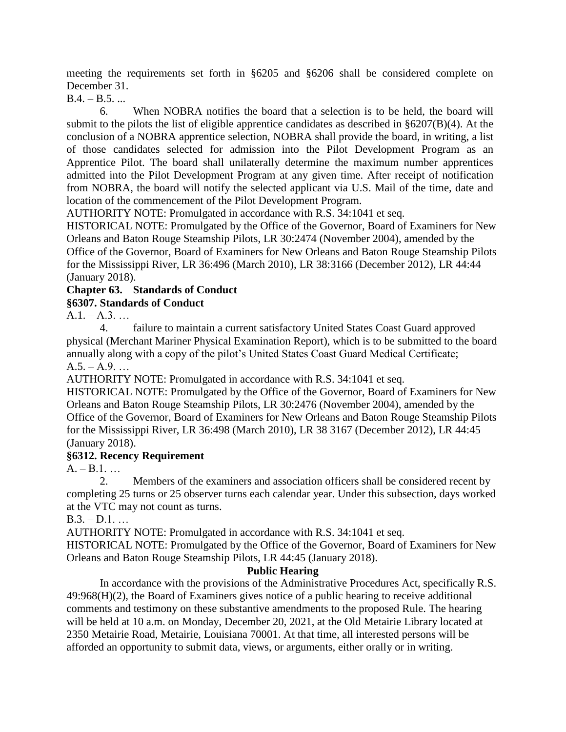meeting the requirements set forth in §6205 and §6206 shall be considered complete on December 31.

 $B.4. - B.5. ...$ 

6. When NOBRA notifies the board that a selection is to be held, the board will submit to the pilots the list of eligible apprentice candidates as described in §6207(B)(4). At the conclusion of a NOBRA apprentice selection, NOBRA shall provide the board, in writing, a list of those candidates selected for admission into the Pilot Development Program as an Apprentice Pilot. The board shall unilaterally determine the maximum number apprentices admitted into the Pilot Development Program at any given time. After receipt of notification from NOBRA, the board will notify the selected applicant via U.S. Mail of the time, date and location of the commencement of the Pilot Development Program.

AUTHORITY NOTE: Promulgated in accordance with R.S. 34:1041 et seq.

HISTORICAL NOTE: Promulgated by the Office of the Governor, Board of Examiners for New Orleans and Baton Rouge Steamship Pilots, LR 30:2474 (November 2004), amended by the Office of the Governor, Board of Examiners for New Orleans and Baton Rouge Steamship Pilots for the Mississippi River, LR 36:496 (March 2010), LR 38:3166 (December 2012), LR 44:44 (January 2018).

# **Chapter 63. Standards of Conduct**

## **§6307. Standards of Conduct**

 $A.1 - A.3...$ 

4. failure to maintain a current satisfactory United States Coast Guard approved physical (Merchant Mariner Physical Examination Report), which is to be submitted to the board annually along with a copy of the pilot's United States Coast Guard Medical Certificate;  $A.5. - A.9. ...$ 

AUTHORITY NOTE: Promulgated in accordance with R.S. 34:1041 et seq.

HISTORICAL NOTE: Promulgated by the Office of the Governor, Board of Examiners for New Orleans and Baton Rouge Steamship Pilots, LR 30:2476 (November 2004), amended by the Office of the Governor, Board of Examiners for New Orleans and Baton Rouge Steamship Pilots for the Mississippi River, LR 36:498 (March 2010), LR 38 3167 (December 2012), LR 44:45 (January 2018).

## **§6312. Recency Requirement**

 $A. - B.1...$ 

2. Members of the examiners and association officers shall be considered recent by completing 25 turns or 25 observer turns each calendar year. Under this subsection, days worked at the VTC may not count as turns.

 $B.3. - D.1.$ ...

AUTHORITY NOTE: Promulgated in accordance with R.S. 34:1041 et seq. HISTORICAL NOTE: Promulgated by the Office of the Governor, Board of Examiners for New Orleans and Baton Rouge Steamship Pilots, LR 44:45 (January 2018).

#### **Public Hearing**

In accordance with the provisions of the Administrative Procedures Act, specifically R.S. 49:968(H)(2), the Board of Examiners gives notice of a public hearing to receive additional comments and testimony on these substantive amendments to the proposed Rule. The hearing will be held at 10 a.m. on Monday, December 20, 2021, at the Old Metairie Library located at 2350 Metairie Road, Metairie, Louisiana 70001. At that time, all interested persons will be afforded an opportunity to submit data, views, or arguments, either orally or in writing.